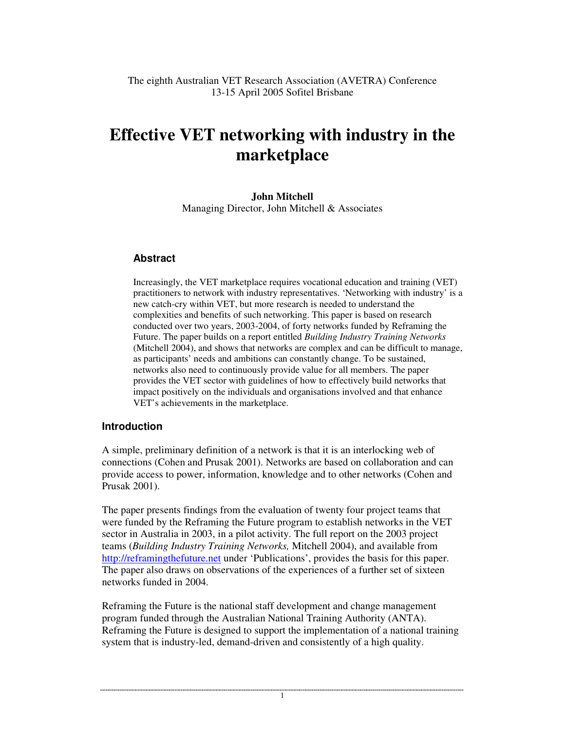# **Effective VET networking with industry in the marketplace**

**John Mitchell** Managing Director, John Mitchell & Associates

# **Abstract**

Increasingly, the VET marketplace requires vocational education and training (VET) practitioners to network with industry representatives. 'Networking with industry' is a new catch-cry within VET, but more research is needed to understand the complexities and benefits of such networking. This paper is based on research conducted over two years, 2003-2004, of forty networks funded by Reframing the Future. The paper builds on a report entitled *Building Industry Training Networks* (Mitchell 2004), and shows that networks are complex and can be difficult to manage, as participants' needs and ambitions can constantly change. To be sustained, networks also need to continuously provide value for all members. The paper provides the VET sector with guidelines of how to effectively build networks that impact positively on the individuals and organisations involved and that enhance VET's achievements in the marketplace.

#### **Introduction**

A simple, preliminary definition of a network is that it is an interlocking web of connections (Cohen and Prusak 2001). Networks are based on collaboration and can provide access to power, information, knowledge and to other networks (Cohen and Prusak 2001).

The paper presents findings from the evaluation of twenty four project teams that were funded by the Reframing the Future program to establish networks in the VET sector in Australia in 2003, in a pilot activity. The full report on the 2003 project teams (*Building Industry Training Networks,* Mitchell 2004), and available from http://reframingthefuture.net under 'Publications', provides the basis for this paper. The paper also draws on observations of the experiences of a further set of sixteen networks funded in 2004.

Reframing the Future is the national staff development and change management program funded through the Australian National Training Authority (ANTA). Reframing the Future is designed to support the implementation of a national training system that is industry-led, demand-driven and consistently of a high quality.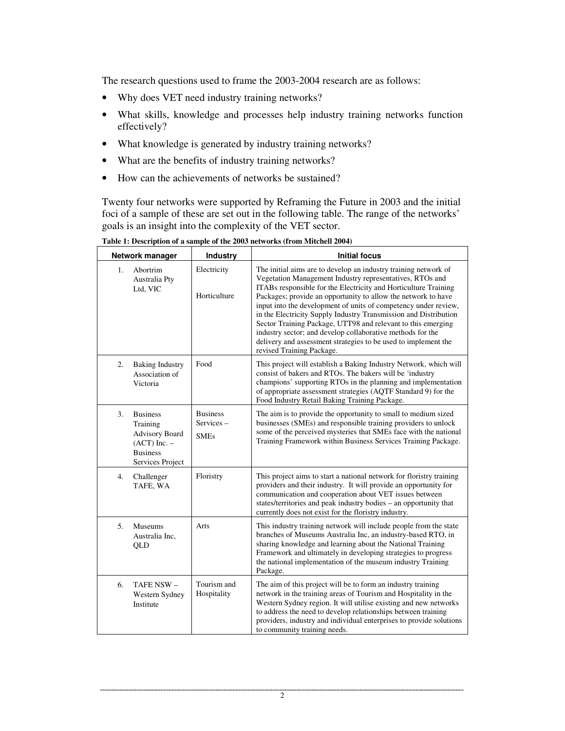The research questions used to frame the 2003-2004 research are as follows:

- Why does VET need industry training networks?
- What skills, knowledge and processes help industry training networks function effectively?
- What knowledge is generated by industry training networks?
- What are the benefits of industry training networks?
- How can the achievements of networks be sustained?

Twenty four networks were supported by Reframing the Future in 2003 and the initial foci of a sample of these are set out in the following table. The range of the networks' goals is an insight into the complexity of the VET sector.

| Network manager                                                                                                       | Industry                                    | <b>Initial focus</b>                                                                                                                                                                                                                                                                                                                                                                                                                                                                                                                                                                                                                |
|-----------------------------------------------------------------------------------------------------------------------|---------------------------------------------|-------------------------------------------------------------------------------------------------------------------------------------------------------------------------------------------------------------------------------------------------------------------------------------------------------------------------------------------------------------------------------------------------------------------------------------------------------------------------------------------------------------------------------------------------------------------------------------------------------------------------------------|
| Abortrim<br>1.<br>Australia Pty<br>Ltd, VIC                                                                           | Electricity<br>Horticulture                 | The initial aims are to develop an industry training network of<br>Vegetation Management Industry representatives, RTOs and<br>ITABs responsible for the Electricity and Horticulture Training<br>Packages; provide an opportunity to allow the network to have<br>input into the development of units of competency under review,<br>in the Electricity Supply Industry Transmission and Distribution<br>Sector Training Package, UTT98 and relevant to this emerging<br>industry sector; and develop collaborative methods for the<br>delivery and assessment strategies to be used to implement the<br>revised Training Package. |
| <b>Baking Industry</b><br>2.<br>Association of<br>Victoria                                                            | Food                                        | This project will establish a Baking Industry Network, which will<br>consist of bakers and RTOs. The bakers will be 'industry<br>champions' supporting RTOs in the planning and implementation<br>of appropriate assessment strategies (AQTF Standard 9) for the<br>Food Industry Retail Baking Training Package.                                                                                                                                                                                                                                                                                                                   |
| <b>Business</b><br>3.<br>Training<br><b>Advisory Board</b><br>$(ACT)$ Inc. $-$<br><b>Business</b><br>Services Project | <b>Business</b><br>Services-<br><b>SMEs</b> | The aim is to provide the opportunity to small to medium sized<br>businesses (SMEs) and responsible training providers to unlock<br>some of the perceived mysteries that SMEs face with the national<br>Training Framework within Business Services Training Package.                                                                                                                                                                                                                                                                                                                                                               |
| 4.<br>Challenger<br>TAFE, WA                                                                                          | Floristry                                   | This project aims to start a national network for floristry training<br>providers and their industry. It will provide an opportunity for<br>communication and cooperation about VET issues between<br>states/territories and peak industry bodies - an opportunity that<br>currently does not exist for the floristry industry.                                                                                                                                                                                                                                                                                                     |
| 5.<br>Museums<br>Australia Inc,<br>QLD                                                                                | Arts                                        | This industry training network will include people from the state<br>branches of Museums Australia Inc, an industry-based RTO, in<br>sharing knowledge and learning about the National Training<br>Framework and ultimately in developing strategies to progress<br>the national implementation of the museum industry Training<br>Package.                                                                                                                                                                                                                                                                                         |
| TAFE NSW -<br>6.<br>Western Sydney<br>Institute                                                                       | Tourism and<br>Hospitality                  | The aim of this project will be to form an industry training<br>network in the training areas of Tourism and Hospitality in the<br>Western Sydney region. It will utilise existing and new networks<br>to address the need to develop relationships between training<br>providers, industry and individual enterprises to provide solutions<br>to community training needs.                                                                                                                                                                                                                                                         |

**Table 1: Description of a sample of the 2003 networks (from Mitchell 2004)**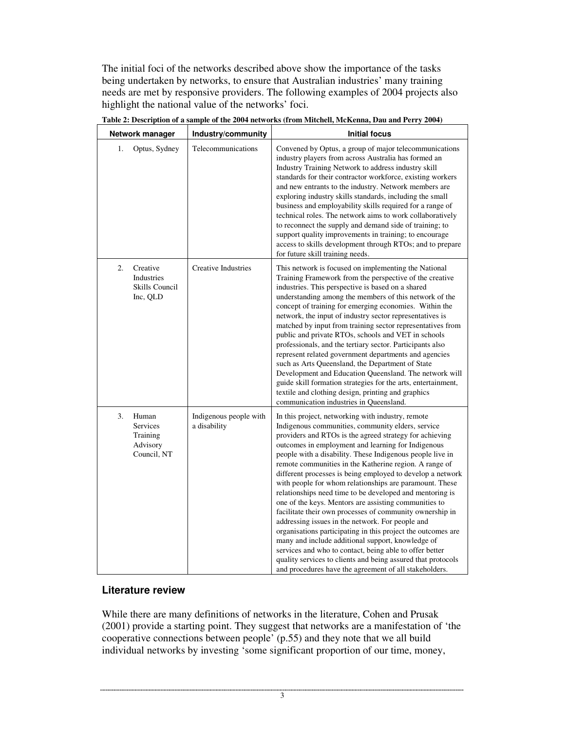The initial foci of the networks described above show the importance of the tasks being undertaken by networks, to ensure that Australian industries' many training needs are met by responsive providers. The following examples of 2004 projects also highlight the national value of the networks' foci.

| Network manager                                                       | Industry/community                     | <b>Initial focus</b>                                                                                                                                                                                                                                                                                                                                                                                                                                                                                                                                                                                                                                                                                                                                                                                                                                                                                                                                                                                                   |
|-----------------------------------------------------------------------|----------------------------------------|------------------------------------------------------------------------------------------------------------------------------------------------------------------------------------------------------------------------------------------------------------------------------------------------------------------------------------------------------------------------------------------------------------------------------------------------------------------------------------------------------------------------------------------------------------------------------------------------------------------------------------------------------------------------------------------------------------------------------------------------------------------------------------------------------------------------------------------------------------------------------------------------------------------------------------------------------------------------------------------------------------------------|
| Optus, Sydney<br>1.                                                   | Telecommunications                     | Convened by Optus, a group of major telecommunications<br>industry players from across Australia has formed an<br>Industry Training Network to address industry skill<br>standards for their contractor workforce, existing workers<br>and new entrants to the industry. Network members are<br>exploring industry skills standards, including the small<br>business and employability skills required for a range of<br>technical roles. The network aims to work collaboratively<br>to reconnect the supply and demand side of training; to<br>support quality improvements in training; to encourage<br>access to skills development through RTOs; and to prepare<br>for future skill training needs.                                                                                                                                                                                                                                                                                                               |
| 2.<br>Creative<br>Industries<br>Skills Council<br>Inc, QLD            | <b>Creative Industries</b>             | This network is focused on implementing the National<br>Training Framework from the perspective of the creative<br>industries. This perspective is based on a shared<br>understanding among the members of this network of the<br>concept of training for emerging economies. Within the<br>network, the input of industry sector representatives is<br>matched by input from training sector representatives from<br>public and private RTOs, schools and VET in schools<br>professionals, and the tertiary sector. Participants also<br>represent related government departments and agencies<br>such as Arts Queensland, the Department of State<br>Development and Education Queensland. The network will<br>guide skill formation strategies for the arts, entertainment,<br>textile and clothing design, printing and graphics<br>communication industries in Queensland.                                                                                                                                        |
| 3.<br>Human<br><b>Services</b><br>Training<br>Advisory<br>Council, NT | Indigenous people with<br>a disability | In this project, networking with industry, remote<br>Indigenous communities, community elders, service<br>providers and RTOs is the agreed strategy for achieving<br>outcomes in employment and learning for Indigenous<br>people with a disability. These Indigenous people live in<br>remote communities in the Katherine region. A range of<br>different processes is being employed to develop a network<br>with people for whom relationships are paramount. These<br>relationships need time to be developed and mentoring is<br>one of the keys. Mentors are assisting communities to<br>facilitate their own processes of community ownership in<br>addressing issues in the network. For people and<br>organisations participating in this project the outcomes are<br>many and include additional support, knowledge of<br>services and who to contact, being able to offer better<br>quality services to clients and being assured that protocols<br>and procedures have the agreement of all stakeholders. |

**Table 2: Description of a sample of the 2004 networks (from Mitchell, McKenna, Dau and Perry 2004)**

## **Literature review**

While there are many definitions of networks in the literature, Cohen and Prusak (2001) provide a starting point. They suggest that networks are a manifestation of 'the cooperative connections between people' (p.55) and they note that we all build individual networks by investing 'some significant proportion of our time, money,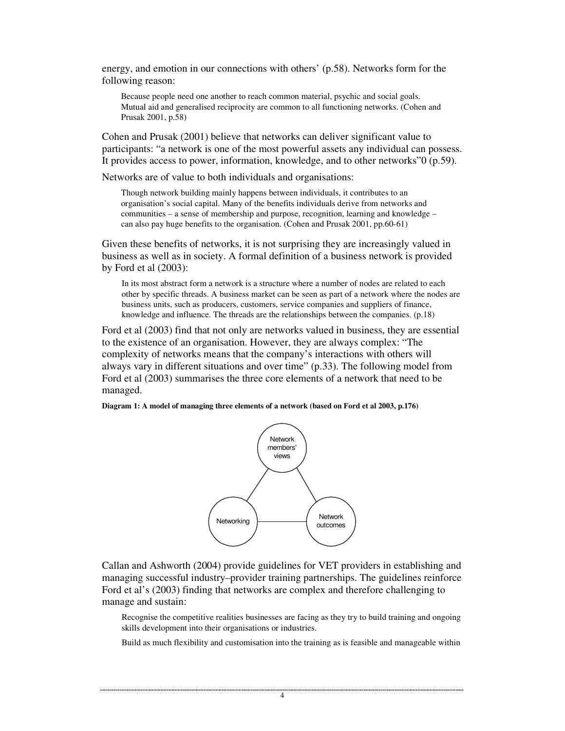energy, and emotion in our connections with others' (p.58). Networks form for the following reason:

Because people need one another to reach common material, psychic and social goals. Mutual aid and generalised reciprocity are common to all functioning networks. (Cohen and Prusak 2001, p.58)

Cohen and Prusak (2001) believe that networks can deliver significant value to participants: "a network is one of the most powerful assets any individual can possess. It provides access to power, information, knowledge, and to other networks"0 (p.59).

Networks are of value to both individuals and organisations:

Though network building mainly happens between individuals, it contributes to an organisation's social capital. Many of the benefits individuals derive from networks and communities – a sense of membership and purpose, recognition, learning and knowledge – can also pay huge benefits to the organisation. (Cohen and Prusak 2001, pp.60-61)

Given these benefits of networks, it is not surprising they are increasingly valued in business as well as in society. A formal definition of a business network is provided by Ford et al (2003):

In its most abstract form a network is a structure where a number of nodes are related to each other by specific threads. A business market can be seen as part of a network where the nodes are business units, such as producers, customers, service companies and suppliers of finance, knowledge and influence. The threads are the relationships between the companies. (p.18)

Ford et al (2003) find that not only are networks valued in business, they are essential to the existence of an organisation. However, they are always complex: "The complexity of networks means that the company's interactions with others will always vary in different situations and over time" (p.33). The following model from Ford et al (2003) summarises the three core elements of a network that need to be managed.

**Diagram 1: A model of managing three elements of a network (based on Ford et al 2003, p.176)**



Callan and Ashworth (2004) provide guidelines for VET providers in establishing and managing successful industry–provider training partnerships. The guidelines reinforce Ford et al's (2003) finding that networks are complex and therefore challenging to manage and sustain:

Recognise the competitive realities businesses are facing as they try to build training and ongoing skills development into their organisations or industries.

Build as much flexibility and customisation into the training as is feasible and manageable within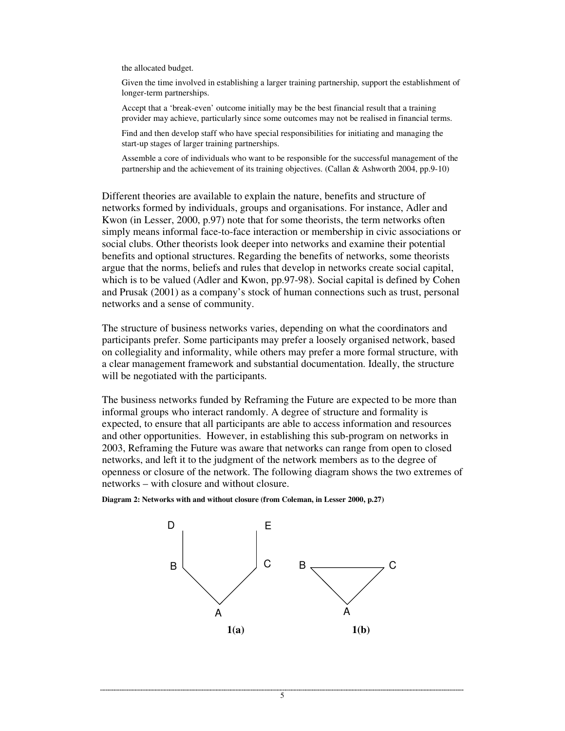the allocated budget.

Given the time involved in establishing a larger training partnership, support the establishment of longer-term partnerships.

Accept that a 'break-even' outcome initially may be the best financial result that a training provider may achieve, particularly since some outcomes may not be realised in financial terms.

Find and then develop staff who have special responsibilities for initiating and managing the start-up stages of larger training partnerships.

Assemble a core of individuals who want to be responsible for the successful management of the partnership and the achievement of its training objectives. (Callan & Ashworth 2004, pp.9-10)

Different theories are available to explain the nature, benefits and structure of networks formed by individuals, groups and organisations. For instance, Adler and Kwon (in Lesser, 2000, p.97) note that for some theorists, the term networks often simply means informal face-to-face interaction or membership in civic associations or social clubs. Other theorists look deeper into networks and examine their potential benefits and optional structures. Regarding the benefits of networks, some theorists argue that the norms, beliefs and rules that develop in networks create social capital, which is to be valued (Adler and Kwon, pp.97-98). Social capital is defined by Cohen and Prusak (2001) as a company's stock of human connections such as trust, personal networks and a sense of community.

The structure of business networks varies, depending on what the coordinators and participants prefer. Some participants may prefer a loosely organised network, based on collegiality and informality, while others may prefer a more formal structure, with a clear management framework and substantial documentation. Ideally, the structure will be negotiated with the participants.

The business networks funded by Reframing the Future are expected to be more than informal groups who interact randomly. A degree of structure and formality is expected, to ensure that all participants are able to access information and resources and other opportunities. However, in establishing this sub-program on networks in 2003, Reframing the Future was aware that networks can range from open to closed networks, and left it to the judgment of the network members as to the degree of openness or closure of the network. The following diagram shows the two extremes of networks – with closure and without closure.





5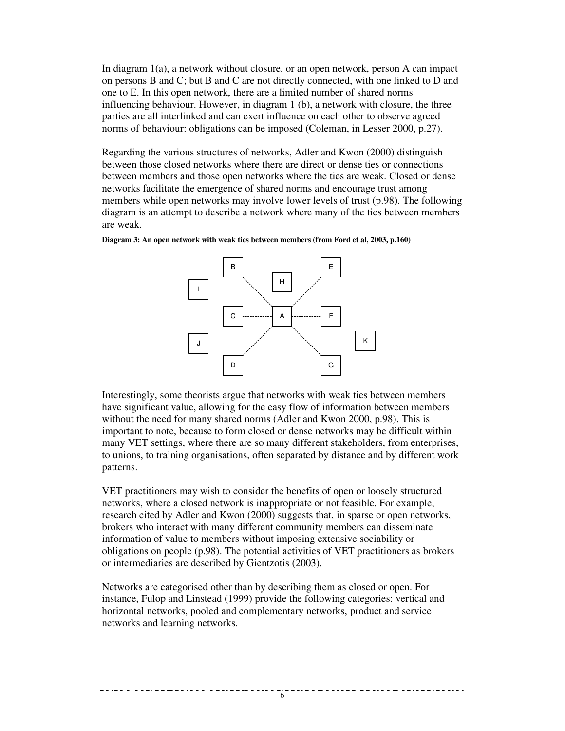In diagram 1(a), a network without closure, or an open network, person A can impact on persons B and C; but B and C are not directly connected, with one linked to D and one to E. In this open network, there are a limited number of shared norms influencing behaviour. However, in diagram 1 (b), a network with closure, the three parties are all interlinked and can exert influence on each other to observe agreed norms of behaviour: obligations can be imposed (Coleman, in Lesser 2000, p.27).

Regarding the various structures of networks, Adler and Kwon (2000) distinguish between those closed networks where there are direct or dense ties or connections between members and those open networks where the ties are weak. Closed or dense networks facilitate the emergence of shared norms and encourage trust among members while open networks may involve lower levels of trust (p.98). The following diagram is an attempt to describe a network where many of the ties between members are weak.



**Diagram 3: An open network with weak ties between members (from Ford et al, 2003, p.160)**

Interestingly, some theorists argue that networks with weak ties between members have significant value, allowing for the easy flow of information between members without the need for many shared norms (Adler and Kwon 2000, p.98). This is important to note, because to form closed or dense networks may be difficult within many VET settings, where there are so many different stakeholders, from enterprises, to unions, to training organisations, often separated by distance and by different work patterns.

VET practitioners may wish to consider the benefits of open or loosely structured networks, where a closed network is inappropriate or not feasible. For example, research cited by Adler and Kwon (2000) suggests that, in sparse or open networks, brokers who interact with many different community members can disseminate information of value to members without imposing extensive sociability or obligations on people (p.98). The potential activities of VET practitioners as brokers or intermediaries are described by Gientzotis (2003).

Networks are categorised other than by describing them as closed or open. For instance, Fulop and Linstead (1999) provide the following categories: vertical and horizontal networks, pooled and complementary networks, product and service networks and learning networks.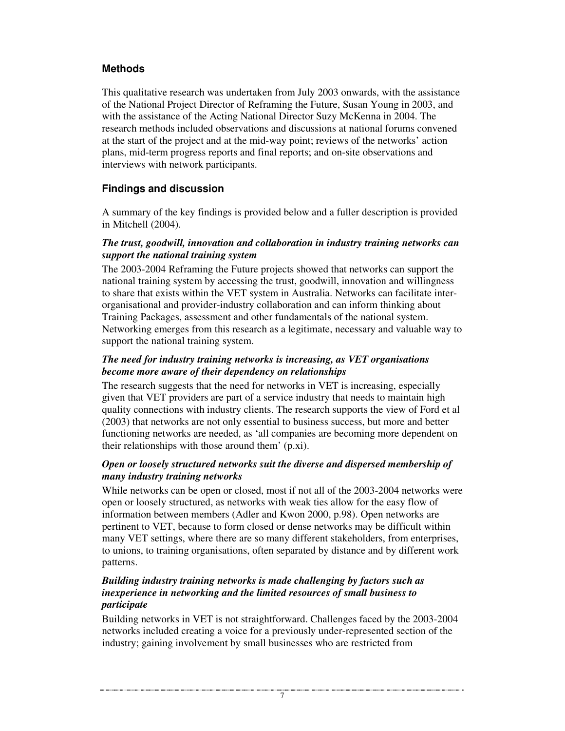# **Methods**

This qualitative research was undertaken from July 2003 onwards, with the assistance of the National Project Director of Reframing the Future, Susan Young in 2003, and with the assistance of the Acting National Director Suzy McKenna in 2004. The research methods included observations and discussions at national forums convened at the start of the project and at the mid-way point; reviews of the networks' action plans, mid-term progress reports and final reports; and on-site observations and interviews with network participants.

# **Findings and discussion**

A summary of the key findings is provided below and a fuller description is provided in Mitchell (2004).

#### *The trust, goodwill, innovation and collaboration in industry training networks can support the national training system*

The 2003-2004 Reframing the Future projects showed that networks can support the national training system by accessing the trust, goodwill, innovation and willingness to share that exists within the VET system in Australia. Networks can facilitate interorganisational and provider-industry collaboration and can inform thinking about Training Packages, assessment and other fundamentals of the national system. Networking emerges from this research as a legitimate, necessary and valuable way to support the national training system.

#### *The need for industry training networks is increasing, as VET organisations become more aware of their dependency on relationships*

The research suggests that the need for networks in VET is increasing, especially given that VET providers are part of a service industry that needs to maintain high quality connections with industry clients. The research supports the view of Ford et al (2003) that networks are not only essential to business success, but more and better functioning networks are needed, as 'all companies are becoming more dependent on their relationships with those around them' (p.xi).

## *Open or loosely structured networks suit the diverse and dispersed membership of many industry training networks*

While networks can be open or closed, most if not all of the 2003-2004 networks were open or loosely structured, as networks with weak ties allow for the easy flow of information between members (Adler and Kwon 2000, p.98). Open networks are pertinent to VET, because to form closed or dense networks may be difficult within many VET settings, where there are so many different stakeholders, from enterprises, to unions, to training organisations, often separated by distance and by different work patterns.

### *Building industry training networks is made challenging by factors such as inexperience in networking and the limited resources of small business to participate*

Building networks in VET is not straightforward. Challenges faced by the 2003-2004 networks included creating a voice for a previously under-represented section of the industry; gaining involvement by small businesses who are restricted from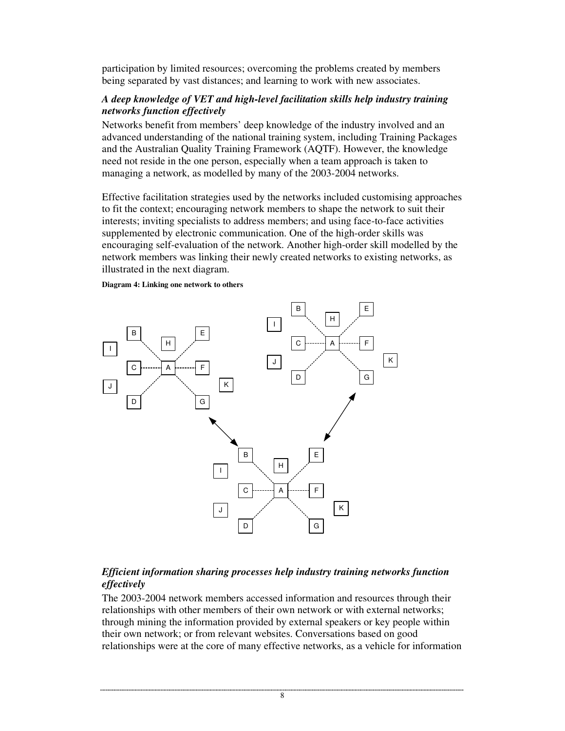participation by limited resources; overcoming the problems created by members being separated by vast distances; and learning to work with new associates.

#### *A deep knowledge of VET and high-level facilitation skills help industry training networks function effectively*

Networks benefit from members' deep knowledge of the industry involved and an advanced understanding of the national training system, including Training Packages and the Australian Quality Training Framework (AQTF). However, the knowledge need not reside in the one person, especially when a team approach is taken to managing a network, as modelled by many of the 2003-2004 networks.

Effective facilitation strategies used by the networks included customising approaches to fit the context; encouraging network members to shape the network to suit their interests; inviting specialists to address members; and using face-to-face activities supplemented by electronic communication. One of the high-order skills was encouraging self-evaluation of the network. Another high-order skill modelled by the network members was linking their newly created networks to existing networks, as illustrated in the next diagram.

#### **Diagram 4: Linking one network to others**



## *Efficient information sharing processes help industry training networks function effectively*

The 2003-2004 network members accessed information and resources through their relationships with other members of their own network or with external networks; through mining the information provided by external speakers or key people within their own network; or from relevant websites. Conversations based on good relationships were at the core of many effective networks, as a vehicle for information

<sup>8</sup>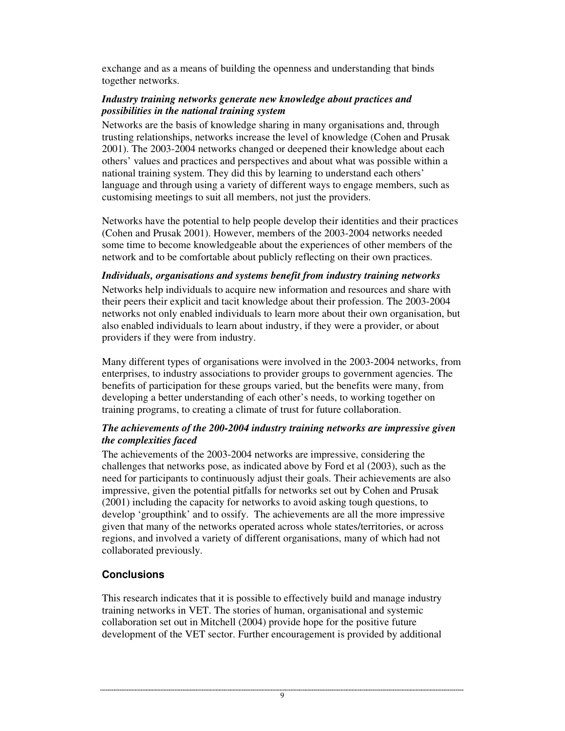exchange and as a means of building the openness and understanding that binds together networks.

#### *Industry training networks generate new knowledge about practices and possibilities in the national training system*

Networks are the basis of knowledge sharing in many organisations and, through trusting relationships, networks increase the level of knowledge (Cohen and Prusak 2001). The 2003-2004 networks changed or deepened their knowledge about each others' values and practices and perspectives and about what was possible within a national training system. They did this by learning to understand each others' language and through using a variety of different ways to engage members, such as customising meetings to suit all members, not just the providers.

Networks have the potential to help people develop their identities and their practices (Cohen and Prusak 2001). However, members of the 2003-2004 networks needed some time to become knowledgeable about the experiences of other members of the network and to be comfortable about publicly reflecting on their own practices.

#### *Individuals, organisations and systems benefit from industry training networks*

Networks help individuals to acquire new information and resources and share with their peers their explicit and tacit knowledge about their profession. The 2003-2004 networks not only enabled individuals to learn more about their own organisation, but also enabled individuals to learn about industry, if they were a provider, or about providers if they were from industry.

Many different types of organisations were involved in the 2003-2004 networks, from enterprises, to industry associations to provider groups to government agencies. The benefits of participation for these groups varied, but the benefits were many, from developing a better understanding of each other's needs, to working together on training programs, to creating a climate of trust for future collaboration.

#### *The achievements of the 200-2004 industry training networks are impressive given the complexities faced*

The achievements of the 2003-2004 networks are impressive, considering the challenges that networks pose, as indicated above by Ford et al (2003), such as the need for participants to continuously adjust their goals. Their achievements are also impressive, given the potential pitfalls for networks set out by Cohen and Prusak (2001) including the capacity for networks to avoid asking tough questions, to develop 'groupthink' and to ossify. The achievements are all the more impressive given that many of the networks operated across whole states/territories, or across regions, and involved a variety of different organisations, many of which had not collaborated previously.

# **Conclusions**

This research indicates that it is possible to effectively build and manage industry training networks in VET. The stories of human, organisational and systemic collaboration set out in Mitchell (2004) provide hope for the positive future development of the VET sector. Further encouragement is provided by additional